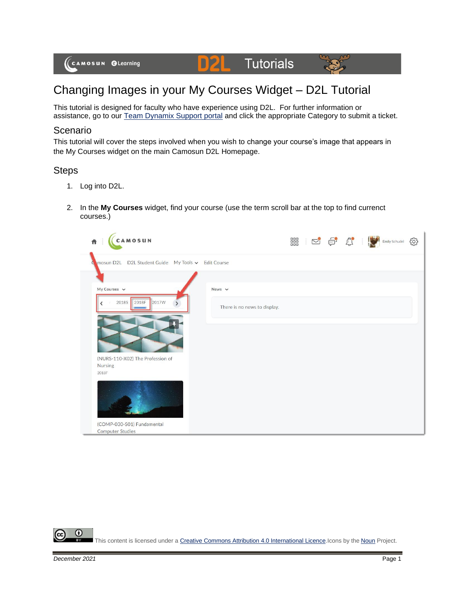

# Changing Images in your My Courses Widget – D2L Tutorial

D

This tutorial is designed for faculty who have experience using D2L. For further information or assistance, go to our [Team Dynamix Support portal](https://camosun.teamdynamix.com/TDClient/67/Portal/Requests/ServiceCatalog?CategoryID=523) and click the appropriate Category to submit a ticket.

## Scenario

This tutorial will cover the steps involved when you wish to change your course's image that appears in the My Courses widget on the main Camosun D2L Homepage.

### **Steps**

- 1. Log into D2L.
- 2. In the **My Courses** widget, find your course (use the term scroll bar at the top to find currenct courses.)

| CAMOSUN<br>青                                       |                              | ■ 2 9 0 ● |  | Emily Schudel | සූ |
|----------------------------------------------------|------------------------------|-----------|--|---------------|----|
| mosun D2L D2L Student Guide My Tools v Edit Course |                              |           |  |               |    |
|                                                    |                              |           |  |               |    |
| My Courses $\vee$                                  | News $\vee$                  |           |  |               |    |
| 2018S 2018F<br>2017W                               | There is no news to display. |           |  |               |    |
|                                                    |                              |           |  |               |    |
| (NURS-110-X02) The Profession of                   |                              |           |  |               |    |
| Nursing<br>2018F                                   |                              |           |  |               |    |
|                                                    |                              |           |  |               |    |
| (COMP-030-S01) Fundamental                         |                              |           |  |               |    |
| <b>Computer Studies</b>                            |                              |           |  |               |    |



This content is licensed under [a Creative Commons Attribution 4.0 International Licence.I](https://creativecommons.org/licenses/by/4.0/)cons by the [Noun](https://creativecommons.org/website-icons/) Project.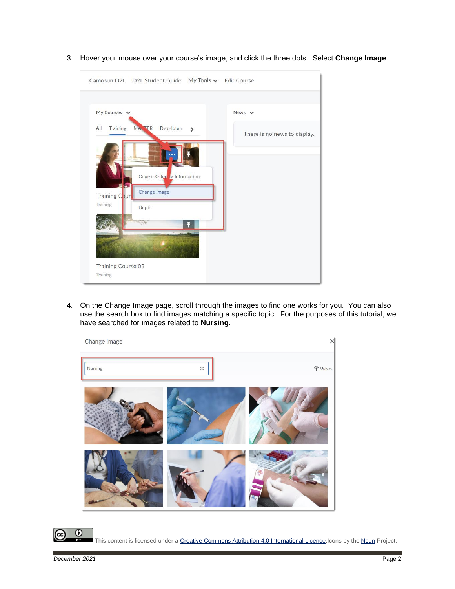

3. Hover your mouse over your course's image, and click the three dots. Select **Change Image**.

4. On the Change Image page, scroll through the images to find one works for you. You can also use the search box to find images matching a specific topic. For the purposes of this tutorial, we have searched for images related to **Nursing**.



This content is licensed under [a Creative Commons Attribution 4.0 International Licence.I](https://creativecommons.org/licenses/by/4.0/)cons by the [Noun](https://creativecommons.org/website-icons/) Project.

0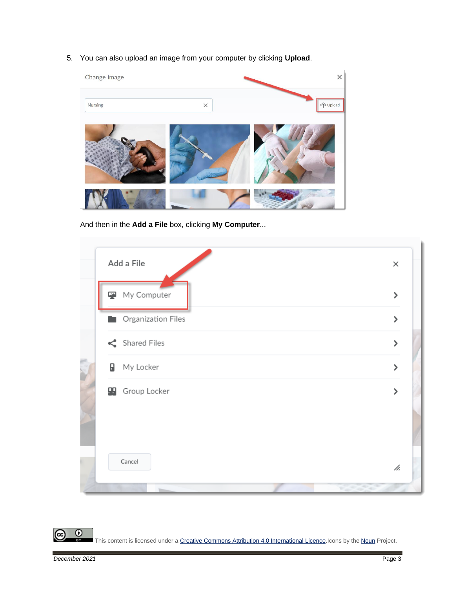5. You can also upload an image from your computer by clicking **Upload**.



And then in the **Add a File** box, clicking **My Computer**...

|   | Add a File            | $\times$           |
|---|-----------------------|--------------------|
|   | My Computer           | $\mathbf{\lambda}$ |
|   | Crganization Files    | $\mathbf{\lambda}$ |
|   | Shared Files          | $\mathbf{\lambda}$ |
| θ | My Locker             | $\mathbf{\lambda}$ |
|   | <b>B</b> Group Locker | ⋋                  |
|   | Cancel                | h.                 |
|   | المرتب المراكب        |                    |

This content is licensed under [a Creative Commons Attribution 4.0 International Licence.I](https://creativecommons.org/licenses/by/4.0/)cons by the [Noun](https://creativecommons.org/website-icons/) Project.

 $\overline{0}$ 

(cc